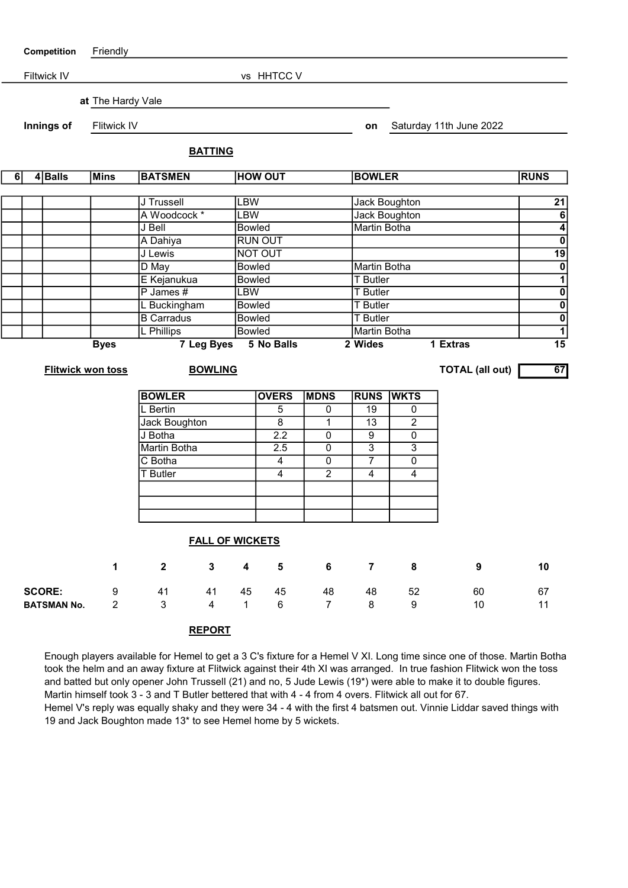| Competition |                        | Friendly                 |                    |                              |                |                                |                          |                |                     |                                 |                                 |                               |
|-------------|------------------------|--------------------------|--------------------|------------------------------|----------------|--------------------------------|--------------------------|----------------|---------------------|---------------------------------|---------------------------------|-------------------------------|
|             |                        | Filtwick IV              | vs HHTCC V         |                              |                |                                |                          |                |                     |                                 |                                 |                               |
|             |                        |                          |                    |                              |                |                                |                          |                |                     |                                 |                                 |                               |
|             |                        |                          | at The Hardy Vale  |                              |                |                                |                          |                |                     |                                 |                                 |                               |
|             | Innings of             |                          | <b>Flitwick IV</b> |                              |                |                                |                          |                | on                  |                                 | Saturday 11th June 2022         |                               |
|             |                        |                          |                    | <b>BATTING</b>               |                |                                |                          |                |                     |                                 |                                 |                               |
| 6           |                        | 4Balls                   | Mins               | <b>BATSMEN</b>               |                | <b>HOW OUT</b>                 |                          | <b>BOWLER</b>  |                     |                                 | <b>RUNS</b>                     |                               |
|             |                        |                          |                    |                              |                |                                |                          |                |                     |                                 |                                 |                               |
|             |                        |                          |                    | J Trussell                   |                | <b>LBW</b>                     |                          |                |                     | <b>Jack Boughton</b>            |                                 | 21                            |
|             |                        |                          | A Woodcock *       |                              | <b>LBW</b>     |                                |                          |                | Jack Boughton       |                                 | $\frac{6}{4}$<br>$\frac{1}{19}$ |                               |
|             |                        |                          | J Bell             |                              | <b>Bowled</b>  |                                |                          |                | <b>Martin Botha</b> |                                 |                                 |                               |
|             |                        |                          | A Dahiya           |                              |                | <b>RUN OUT</b>                 |                          |                |                     |                                 |                                 |                               |
|             |                        |                          |                    | J Lewis                      |                |                                | NOT OUT                  |                |                     |                                 |                                 |                               |
|             |                        |                          |                    | D May                        |                | <b>Bowled</b>                  |                          |                |                     | Martin Botha<br><b>T</b> Butler |                                 |                               |
|             |                        |                          |                    | E Kejanukua<br>$P$ James $#$ |                |                                | <b>Bowled</b>            |                |                     | <b>T</b> Butler                 |                                 |                               |
|             |                        |                          |                    | L Buckingham                 |                | <b>LBW</b>                     |                          |                | <b>T</b> Butler     |                                 |                                 | $\frac{1}{2}$ o $\frac{1}{2}$ |
|             |                        |                          |                    | <b>B</b> Carradus            |                | <b>Bowled</b><br><b>Bowled</b> |                          |                |                     | <b>T</b> Butler                 |                                 |                               |
|             |                        |                          |                    | L Phillips                   |                | Bowled                         |                          |                |                     | Martin Botha                    |                                 |                               |
|             |                        |                          | <b>Byes</b>        | 7 Leg Byes                   |                |                                | 5 No Balls<br>2 Wides    |                |                     |                                 | 1 Extras                        | $\overline{15}$               |
|             |                        | <b>Flitwick won toss</b> |                    | <b>BOWLING</b>               |                |                                |                          |                |                     |                                 | <b>TOTAL (all out)</b>          | 67                            |
|             |                        |                          |                    |                              |                |                                |                          |                |                     |                                 |                                 |                               |
|             |                        |                          |                    | <b>BOWLER</b>                |                |                                | <b>OVERS</b>             | <b>MDNS</b>    | <b>RUNS</b>         | <b>WKTS</b>                     |                                 |                               |
|             |                        |                          |                    | L Bertin                     |                |                                | 5                        | $\overline{0}$ | $\overline{19}$     | 0                               |                                 |                               |
|             |                        |                          | Jack Boughton      |                              |                | $\overline{8}$                 | 1                        | 13             | $\overline{2}$      |                                 |                                 |                               |
|             |                        |                          |                    | J Botha                      |                | $\overline{2.2}$               | $\overline{0}$           | 9              | $\overline{0}$      |                                 |                                 |                               |
|             |                        |                          |                    | <b>Martin Botha</b>          |                |                                | 2.5                      | $\overline{0}$ | $\overline{3}$      | $\overline{3}$                  |                                 |                               |
|             |                        |                          |                    | C Botha                      |                |                                | $\overline{\mathcal{A}}$ | 0              | $\overline{7}$      | $\overline{0}$                  |                                 |                               |
|             |                        |                          |                    | T Butler                     |                |                                | 4                        | $\overline{2}$ | 4                   | $\overline{\mathbf{4}}$         |                                 |                               |
|             |                        |                          |                    |                              |                |                                |                          |                |                     |                                 |                                 |                               |
|             |                        |                          |                    |                              |                |                                |                          |                |                     |                                 |                                 |                               |
|             | <b>FALL OF WICKETS</b> |                          |                    |                              |                |                                |                          |                |                     |                                 |                                 |                               |
|             |                        |                          |                    |                              |                |                                |                          |                |                     |                                 |                                 |                               |
|             |                        |                          | 1                  | $\mathbf{2}$                 | $\mathbf{3}$   | 4                              | $5\phantom{1}$           | 6              | $\overline{7}$      | 8                               | 9                               | 10                            |
|             |                        | <b>SCORE:</b>            | 9                  | 41                           | 41             | 45                             | 45                       | 48             | 48                  | 52                              | 60                              | 67                            |
|             |                        | <b>BATSMAN No.</b>       | $\overline{2}$     | 3                            | $\overline{4}$ | $\mathbf{1}$                   | 6                        | $\overline{7}$ | 8                   | 9                               | 10                              | 11                            |

REPORT

Enough players available for Hemel to get a 3 C's fixture for a Hemel V XI. Long time since one of those. Martin Botha took the helm and an away fixture at Flitwick against their 4th XI was arranged. In true fashion Flitwick won the toss and batted but only opener John Trussell (21) and no, 5 Jude Lewis (19\*) were able to make it to double figures. Martin himself took 3 - 3 and T Butler bettered that with 4 - 4 from 4 overs. Flitwick all out for 67.

Hemel V's reply was equally shaky and they were 34 - 4 with the first 4 batsmen out. Vinnie Liddar saved things with 19 and Jack Boughton made 13\* to see Hemel home by 5 wickets.